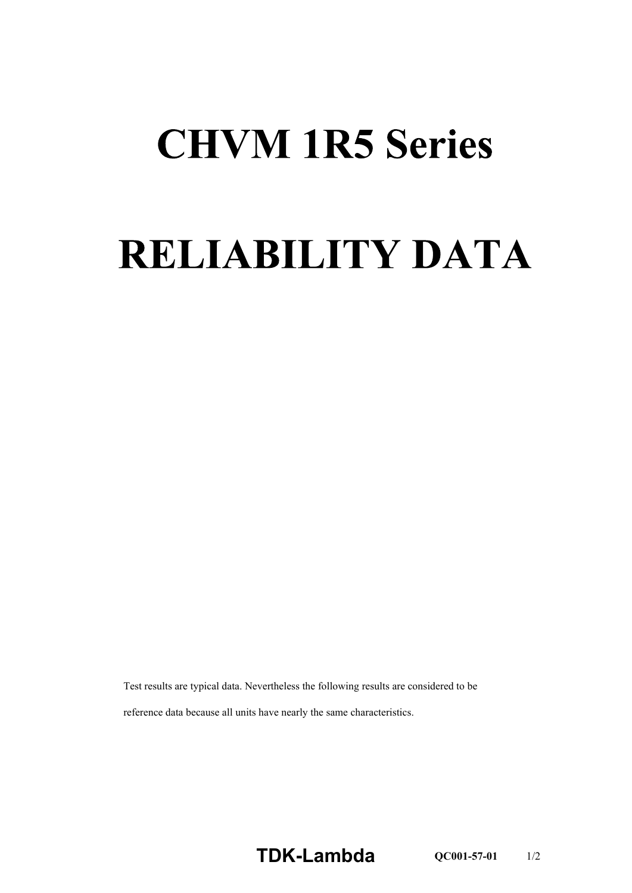## **CHVM 1R5 Series**

## **RELIABILITY DATA**

Test results are typical data. Nevertheless the following results are considered to be reference data because all units have nearly the same characteristics.

**TDK-Lambda QC001-57-01** 1/2